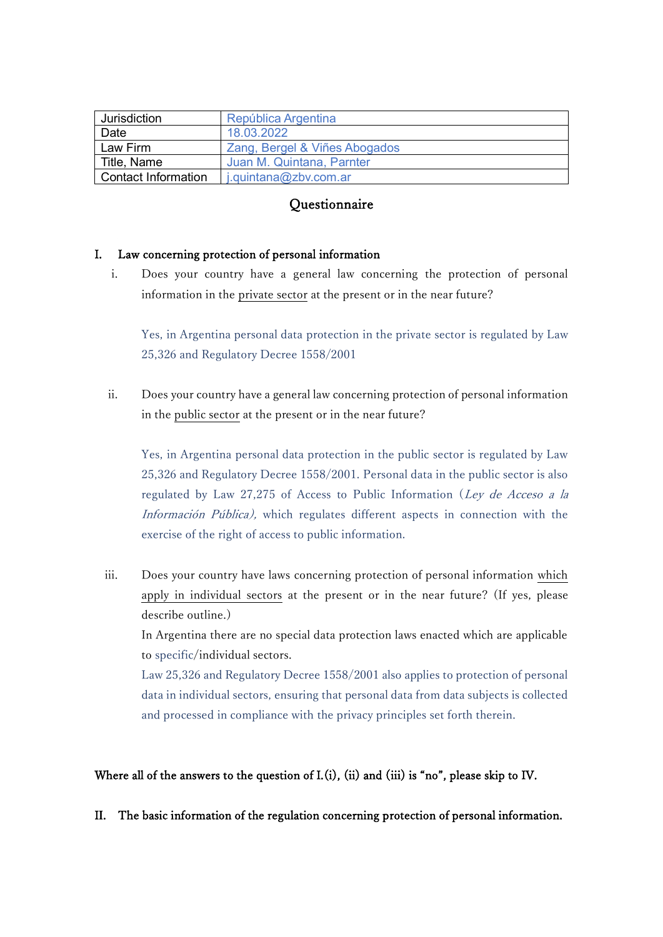| Jurisdiction        | República Argentina           |
|---------------------|-------------------------------|
| Date                | 18.03.2022                    |
| Law Firm            | Zang, Bergel & Viñes Abogados |
| Title, Name         | Juan M. Quintana, Parnter     |
| Contact Information | j.quintana@zbv.com.ar         |

# **Questionnaire**

# I. Law concerning protection of personal information

i. Does your country have a general law concerning the protection of personal information in the private sector at the present or in the near future?

Yes, in Argentina personal data protection in the private sector is regulated by Law 25,326 and Regulatory Decree 1558/2001

ii. Does your country have a general law concerning protection of personal information in the public sector at the present or in the near future?

Yes, in Argentina personal data protection in the public sector is regulated by Law 25,326 and Regulatory Decree 1558/2001. Personal data in the public sector is also regulated by Law 27,275 of Access to Public Information (Ley de Acceso a la Información Pública), which regulates different aspects in connection with the exercise of the right of access to public information.

iii. Does your country have laws concerning protection of personal information which apply in individual sectors at the present or in the near future? (If yes, please describe outline.)

In Argentina there are no special data protection laws enacted which are applicable to specific/individual sectors.

Law 25,326 and Regulatory Decree 1558/2001 also applies to protection of personal data in individual sectors, ensuring that personal data from data subjects is collected and processed in compliance with the privacy principles set forth therein.

# Where all of the answers to the question of I.(i), (ii) and (iii) is "no", please skip to IV.

II. The basic information of the regulation concerning protection of personal information.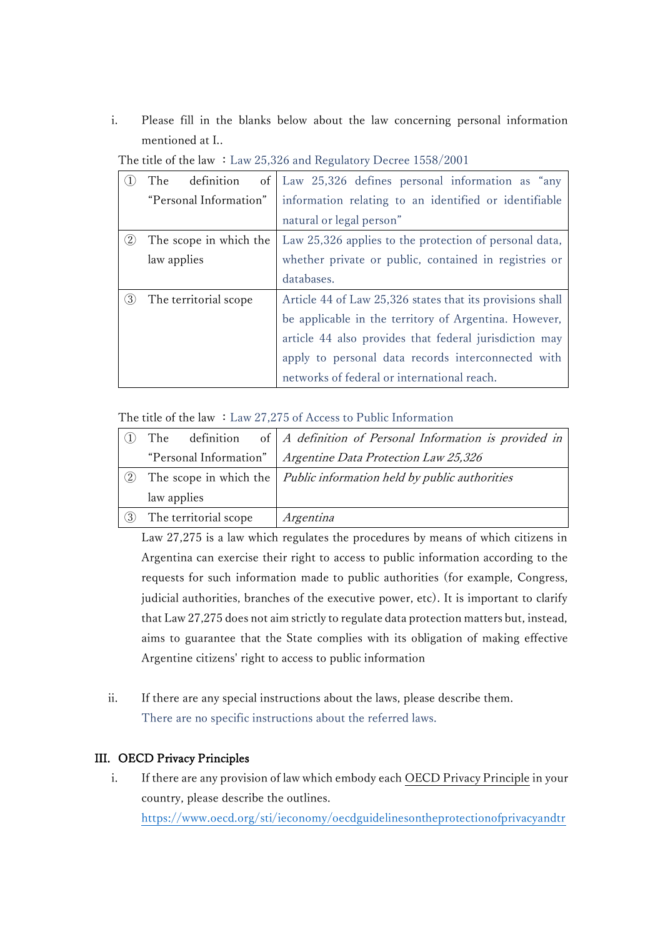i. Please fill in the blanks below about the law concerning personal information mentioned at I..

|          | definition<br>of<br>The | Law 25,326 defines personal information as "any           |
|----------|-------------------------|-----------------------------------------------------------|
|          | "Personal Information"  | information relating to an identified or identifiable     |
|          |                         | natural or legal person"                                  |
| $\rm(2)$ | The scope in which the  | Law 25,326 applies to the protection of personal data,    |
|          | law applies             | whether private or public, contained in registries or     |
|          |                         | databases.                                                |
| 3)       | The territorial scope   | Article 44 of Law 25,326 states that its provisions shall |
|          |                         | be applicable in the territory of Argentina. However,     |
|          |                         | article 44 also provides that federal jurisdiction may    |
|          |                         | apply to personal data records interconnected with        |
|          |                         | networks of federal or international reach.               |

The title of the law : Law 25,326 and Regulatory Decree 1558/2001

The title of the law  $:$  Law 27,275 of Access to Public Information

|     | The                    | definition of $\vert A$ definition of Personal Information is provided in           |
|-----|------------------------|-------------------------------------------------------------------------------------|
|     | "Personal Information" | Argentine Data Protection Law 25,326                                                |
| (2) |                        | The scope in which the $\vert$ <i>Public information held by public authorities</i> |
|     | law applies            |                                                                                     |
| (3) | The territorial scope  | Argentina                                                                           |

Law 27,275 is a law which regulates the procedures by means of which citizens in Argentina can exercise their right to access to public information according to the requests for such information made to public authorities (for example, Congress, judicial authorities, branches of the executive power, etc). It is important to clarify that Law 27,275 does not aim strictly to regulate data protection matters but, instead, aims to guarantee that the State complies with its obligation of making effective Argentine citizens' right to access to public information

ii. If there are any special instructions about the laws, please describe them. There are no specific instructions about the referred laws.

# III. OECD Privacy Principles

i. If there are any provision of law which embody each OECD Privacy Principle in your country, please describe the outlines. [https://www.oecd.org/sti/ieconomy/oecdguidelinesontheprotectionofprivacyandtr](https://www.oecd.org/sti/ieconomy/oecdguidelinesontheprotectionofprivacyandtransborderflowsofpersonaldata.htm)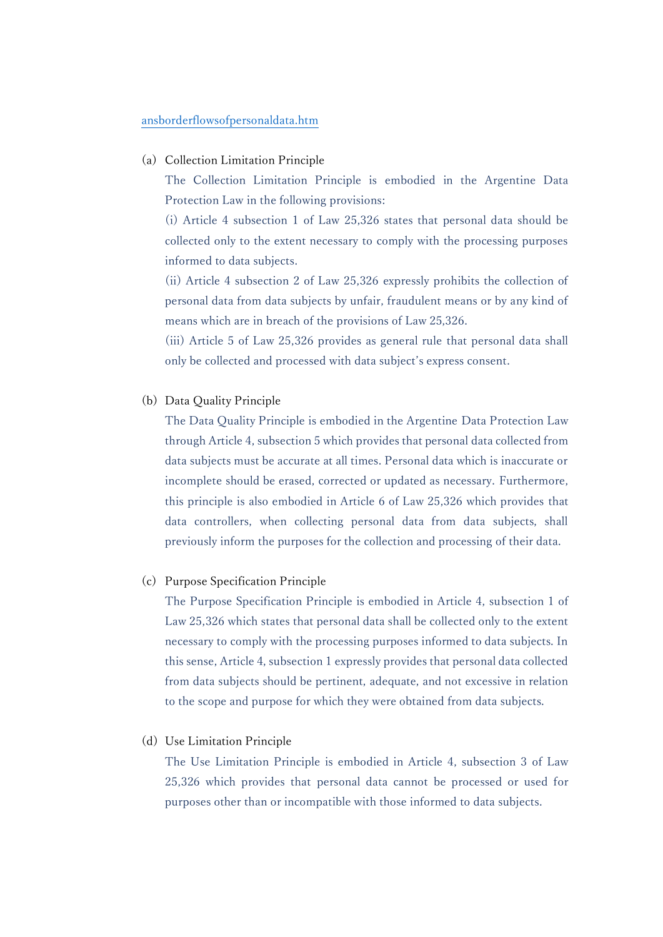#### [ansborderflowsofpersonaldata.htm](https://www.oecd.org/sti/ieconomy/oecdguidelinesontheprotectionofprivacyandtransborderflowsofpersonaldata.htm)

#### (a) Collection Limitation Principle

The Collection Limitation Principle is embodied in the Argentine Data Protection Law in the following provisions:

(i) Article 4 subsection 1 of Law 25,326 states that personal data should be collected only to the extent necessary to comply with the processing purposes informed to data subjects.

(ii) Article 4 subsection 2 of Law 25,326 expressly prohibits the collection of personal data from data subjects by unfair, fraudulent means or by any kind of means which are in breach of the provisions of Law 25,326.

(iii) Article 5 of Law 25,326 provides as general rule that personal data shall only be collected and processed with data subject's express consent.

(b) Data Quality Principle

The Data Quality Principle is embodied in the Argentine Data Protection Law through Article 4, subsection 5 which provides that personal data collected from data subjects must be accurate at all times. Personal data which is inaccurate or incomplete should be erased, corrected or updated as necessary. Furthermore, this principle is also embodied in Article 6 of Law 25,326 which provides that data controllers, when collecting personal data from data subjects, shall previously inform the purposes for the collection and processing of their data.

#### (c) Purpose Specification Principle

The Purpose Specification Principle is embodied in Article 4, subsection 1 of Law 25,326 which states that personal data shall be collected only to the extent necessary to comply with the processing purposes informed to data subjects. In this sense, Article 4, subsection 1 expressly provides that personal data collected from data subjects should be pertinent, adequate, and not excessive in relation to the scope and purpose for which they were obtained from data subjects.

(d) Use Limitation Principle

The Use Limitation Principle is embodied in Article 4, subsection 3 of Law 25,326 which provides that personal data cannot be processed or used for purposes other than or incompatible with those informed to data subjects.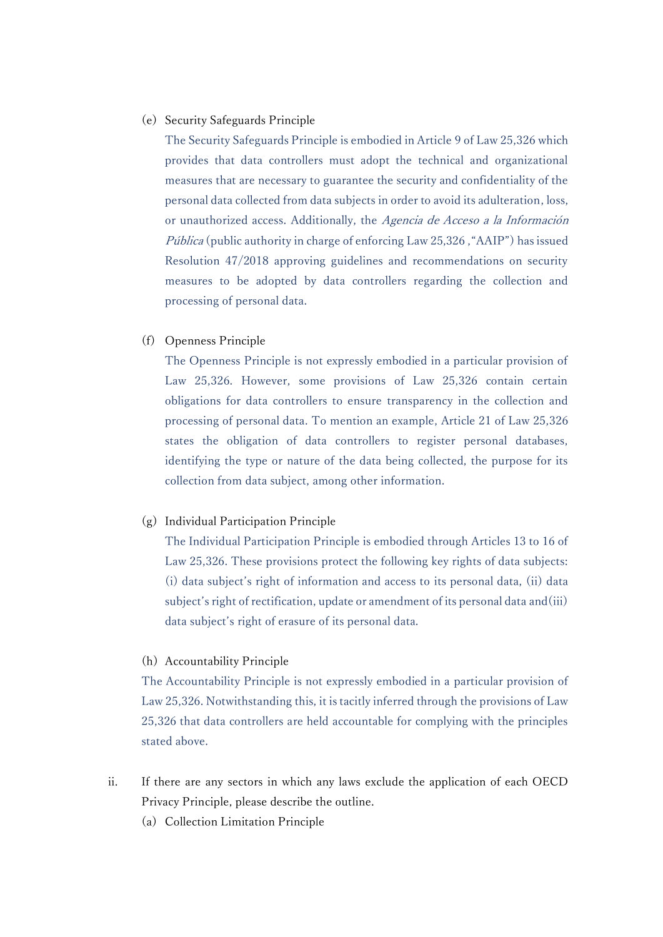### (e) Security Safeguards Principle

The Security Safeguards Principle is embodied in Article 9 of Law 25,326 which provides that data controllers must adopt the technical and organizational measures that are necessary to guarantee the security and confidentiality of the personal data collected from data subjects in order to avoid its adulteration, loss, or unauthorized access. Additionally, the Agencia de Acceso a la Información Pública (public authority in charge of enforcing Law 25,326, "AAIP") has issued Resolution 47/2018 approving guidelines and recommendations on security measures to be adopted by data controllers regarding the collection and processing of personal data.

(f) Openness Principle

The Openness Principle is not expressly embodied in a particular provision of Law 25,326. However, some provisions of Law 25,326 contain certain obligations for data controllers to ensure transparency in the collection and processing of personal data. To mention an example, Article 21 of Law 25,326 states the obligation of data controllers to register personal databases, identifying the type or nature of the data being collected, the purpose for its collection from data subject, among other information.

#### (g) Individual Participation Principle

The Individual Participation Principle is embodied through Articles 13 to 16 of Law 25,326. These provisions protect the following key rights of data subjects: (i) data subject's right of information and access to its personal data, (ii) data subject's right of rectification, update or amendment of its personal data and(iii) data subject's right of erasure of its personal data.

#### (h) Accountability Principle

The Accountability Principle is not expressly embodied in a particular provision of Law 25,326. Notwithstanding this, it is tacitly inferred through the provisions of Law 25,326 that data controllers are held accountable for complying with the principles stated above.

- ii. If there are any sectors in which any laws exclude the application of each OECD Privacy Principle, please describe the outline.
	- (a) Collection Limitation Principle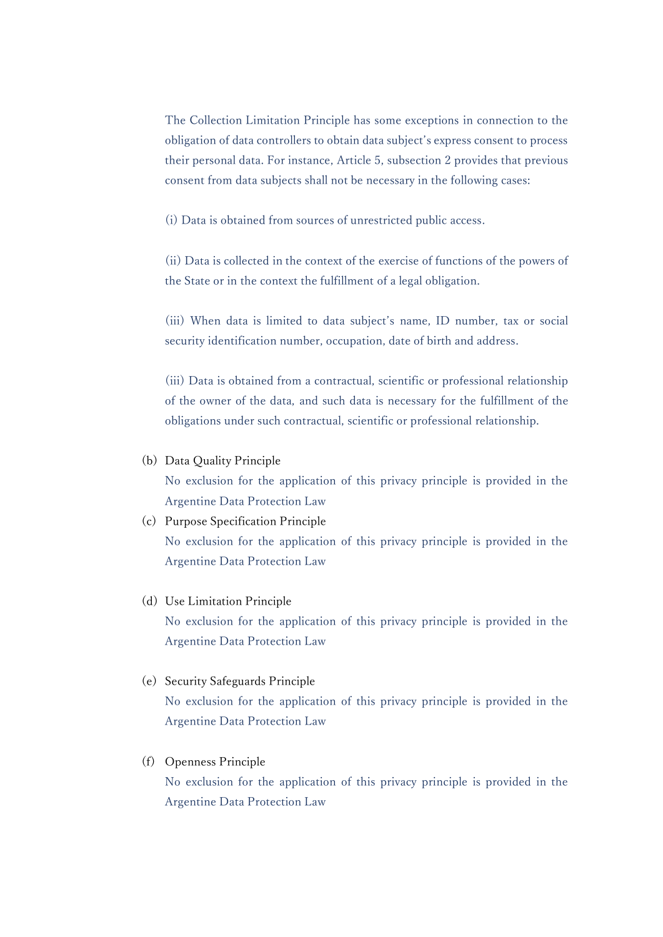The Collection Limitation Principle has some exceptions in connection to the obligation of data controllers to obtain data subject's express consent to process their personal data. For instance, Article 5, subsection 2 provides that previous consent from data subjects shall not be necessary in the following cases:

(i) Data is obtained from sources of unrestricted public access.

(ii) Data is collected in the context of the exercise of functions of the powers of the State or in the context the fulfillment of a legal obligation.

(iii) When data is limited to data subject's name, ID number, tax or social security identification number, occupation, date of birth and address.

(iii) Data is obtained from a contractual, scientific or professional relationship of the owner of the data, and such data is necessary for the fulfillment of the obligations under such contractual, scientific or professional relationship.

#### (b) Data Quality Principle

No exclusion for the application of this privacy principle is provided in the Argentine Data Protection Law

# (c) Purpose Specification Principle No exclusion for the application of this privacy principle is provided in the Argentine Data Protection Law

# (d) Use Limitation Principle No exclusion for the application of this privacy principle is provided in the Argentine Data Protection Law

#### (e) Security Safeguards Principle

No exclusion for the application of this privacy principle is provided in the Argentine Data Protection Law

## (f) Openness Principle

No exclusion for the application of this privacy principle is provided in the Argentine Data Protection Law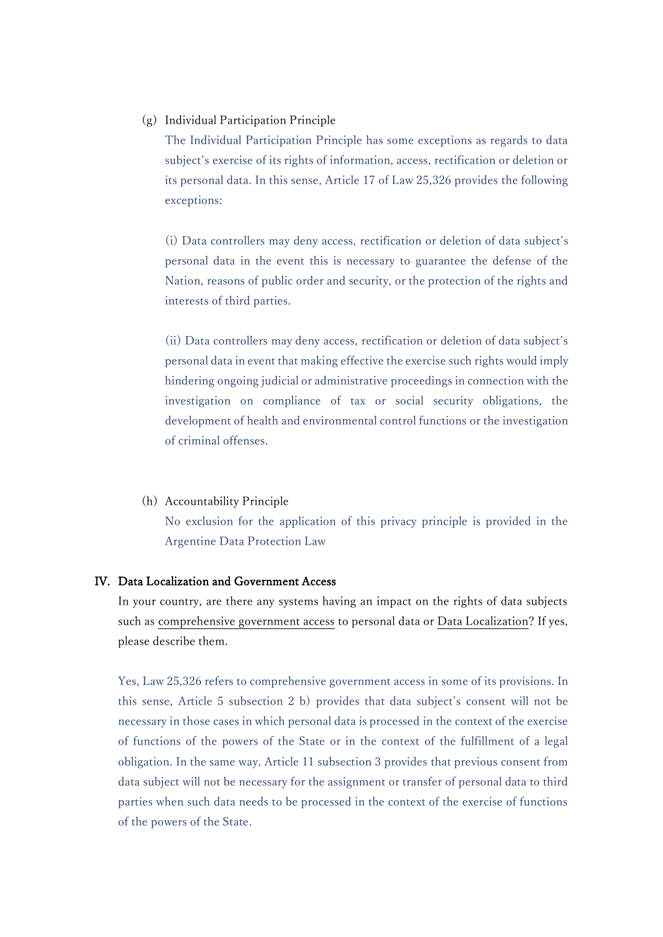### (g) Individual Participation Principle

The Individual Participation Principle has some exceptions as regards to data subject's exercise of its rights of information, access, rectification or deletion or its personal data. In this sense, Article 17 of Law 25,326 provides the following exceptions:

(i) Data controllers may deny access, rectification or deletion of data subject's personal data in the event this is necessary to guarantee the defense of the Nation, reasons of public order and security, or the protection of the rights and interests of third parties.

(ii) Data controllers may deny access, rectification or deletion of data subject's personal data in event that making effective the exercise such rights would imply hindering ongoing judicial or administrative proceedings in connection with the investigation on compliance of tax or social security obligations, the development of health and environmental control functions or the investigation of criminal offenses.

#### (h) Accountability Principle

No exclusion for the application of this privacy principle is provided in the Argentine Data Protection Law

## IV. Data Localization and Government Access

In your country, are there any systems having an impact on the rights of data subjects such as comprehensive government access to personal data or Data Localization? If yes, please describe them.

Yes, Law 25,326 refers to comprehensive government access in some of its provisions. In this sense, Article 5 subsection 2 b) provides that data subject's consent will not be necessary in those cases in which personal data is processed in the context of the exercise of functions of the powers of the State or in the context of the fulfillment of a legal obligation. In the same way, Article 11 subsection 3 provides that previous consent from data subject will not be necessary for the assignment or transfer of personal data to third parties when such data needs to be processed in the context of the exercise of functions of the powers of the State.